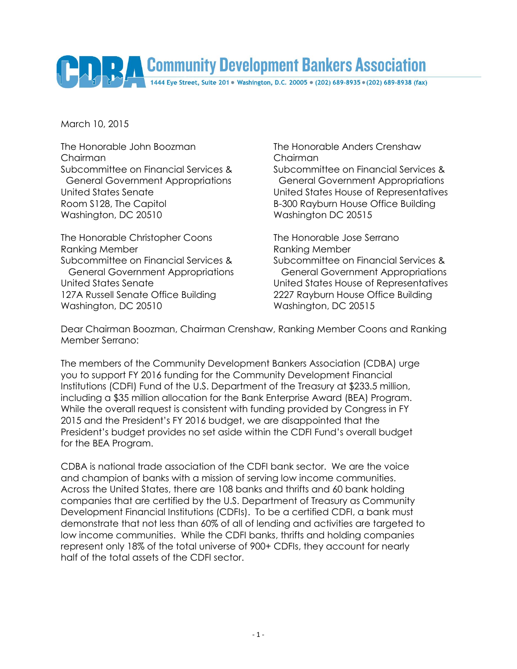# Community Development Bankers Association

March 10, 2015

The Honorable John Boozman The Honorable Anders Crenshaw Chairman Chairman Room S128, The Capitol **B-300 Rayburn House Office Building** Washington, DC 20510 Washington DC 20515

The Honorable Christopher Coons The Honorable Jose Serrano Ranking Member **Ranking Member** Ranking Member Subcommittee on Financial Services & Subcommittee on Financial Services & 127A Russell Senate Office Building 2227 Rayburn House Office Building Washington, DC 20510 Washington, DC 20515

Subcommittee on Financial Services & Subcommittee on Financial Services & General Government Appropriations General Government Appropriations United States Senate United States House of Representatives

 General Government Appropriations General Government Appropriations United States Senate United States House of Representatives

Dear Chairman Boozman, Chairman Crenshaw, Ranking Member Coons and Ranking Member Serrano:

The members of the Community Development Bankers Association (CDBA) urge you to support FY 2016 funding for the Community Development Financial Institutions (CDFI) Fund of the U.S. Department of the Treasury at \$233.5 million, including a \$35 million allocation for the Bank Enterprise Award (BEA) Program. While the overall request is consistent with funding provided by Congress in FY 2015 and the President's FY 2016 budget, we are disappointed that the President's budget provides no set aside within the CDFI Fund's overall budget for the BEA Program.

CDBA is national trade association of the CDFI bank sector. We are the voice and champion of banks with a mission of serving low income communities. Across the United States, there are 108 banks and thrifts and 60 bank holding companies that are certified by the U.S. Department of Treasury as Community Development Financial Institutions (CDFIs). To be a certified CDFI, a bank must demonstrate that not less than 60% of all of lending and activities are targeted to low income communities. While the CDFI banks, thrifts and holding companies represent only 18% of the total universe of 900+ CDFIs, they account for nearly half of the total assets of the CDFI sector.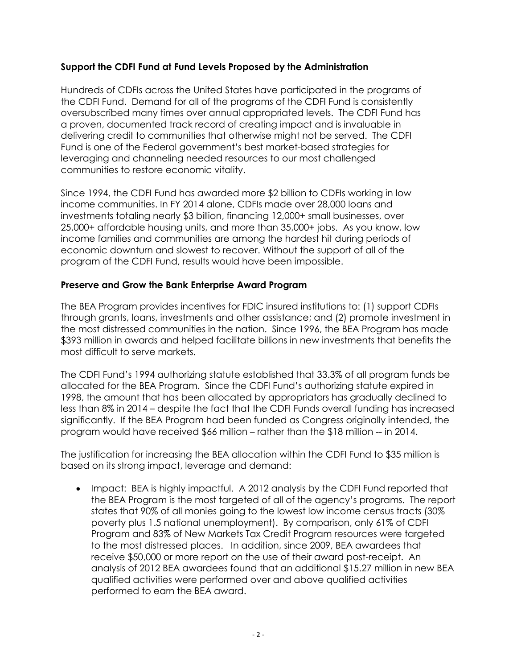#### **Support the CDFI Fund at Fund Levels Proposed by the Administration**

Hundreds of CDFIs across the United States have participated in the programs of the CDFI Fund. Demand for all of the programs of the CDFI Fund is consistently oversubscribed many times over annual appropriated levels. The CDFI Fund has a proven, documented track record of creating impact and is invaluable in delivering credit to communities that otherwise might not be served. The CDFI Fund is one of the Federal government's best market-based strategies for leveraging and channeling needed resources to our most challenged communities to restore economic vitality.

Since 1994, the CDFI Fund has awarded more \$2 billion to CDFIs working in low income communities. In FY 2014 alone, CDFIs made over 28,000 loans and investments totaling nearly \$3 billion, financing 12,000+ small businesses, over 25,000+ affordable housing units, and more than 35,000+ jobs. As you know, low income families and communities are among the hardest hit during periods of economic downturn and slowest to recover. Without the support of all of the program of the CDFI Fund, results would have been impossible.

## **Preserve and Grow the Bank Enterprise Award Program**

The BEA Program provides incentives for FDIC insured institutions to: (1) support CDFIs through grants, loans, investments and other assistance; and (2) promote investment in the most distressed communities in the nation. Since 1996, the BEA Program has made \$393 million in awards and helped facilitate billions in new investments that benefits the most difficult to serve markets.

The CDFI Fund's 1994 authorizing statute established that 33.3% of all program funds be allocated for the BEA Program. Since the CDFI Fund's authorizing statute expired in 1998, the amount that has been allocated by appropriators has gradually declined to less than 8% in 2014 – despite the fact that the CDFI Funds overall funding has increased significantly. If the BEA Program had been funded as Congress originally intended, the program would have received \$66 million – rather than the \$18 million -- in 2014.

The justification for increasing the BEA allocation within the CDFI Fund to \$35 million is based on its strong impact, leverage and demand:

• Impact: BEA is highly impactful. A 2012 analysis by the CDFI Fund reported that the BEA Program is the most targeted of all of the agency's programs. The report states that 90% of all monies going to the lowest low income census tracts (30% poverty plus 1.5 national unemployment). By comparison, only 61% of CDFI Program and 83% of New Markets Tax Credit Program resources were targeted to the most distressed places. In addition, since 2009, BEA awardees that receive \$50,000 or more report on the use of their award post-receipt. An analysis of 2012 BEA awardees found that an additional \$15.27 million in new BEA qualified activities were performed over and above qualified activities performed to earn the BEA award.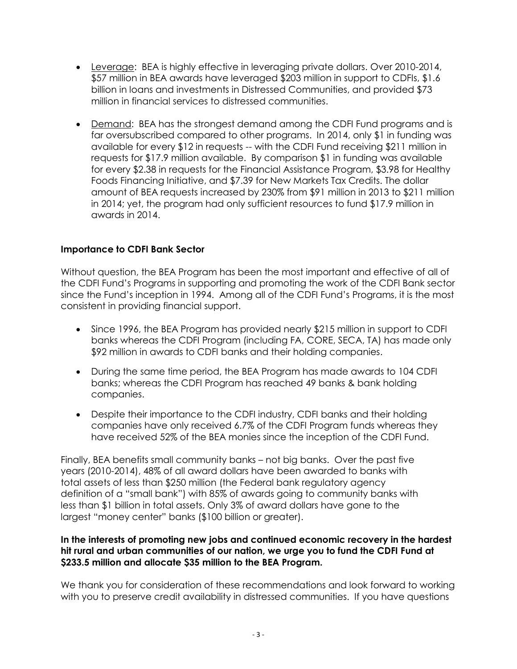- Leverage: BEA is highly effective in leveraging private dollars. Over 2010-2014, \$57 million in BEA awards have leveraged \$203 million in support to CDFIs, \$1.6 billion in loans and investments in Distressed Communities, and provided \$73 million in financial services to distressed communities.
- Demand: BEA has the strongest demand among the CDFI Fund programs and is far oversubscribed compared to other programs. In 2014, only \$1 in funding was available for every \$12 in requests -- with the CDFI Fund receiving \$211 million in requests for \$17.9 million available. By comparison \$1 in funding was available for every \$2.38 in requests for the Financial Assistance Program, \$3.98 for Healthy Foods Financing Initiative, and \$7.39 for New Markets Tax Credits. The dollar amount of BEA requests increased by 230% from \$91 million in 2013 to \$211 million in 2014; yet, the program had only sufficient resources to fund \$17.9 million in awards in 2014.

## **Importance to CDFI Bank Sector**

Without question, the BEA Program has been the most important and effective of all of the CDFI Fund's Programs in supporting and promoting the work of the CDFI Bank sector since the Fund's inception in 1994. Among all of the CDFI Fund's Programs, it is the most consistent in providing financial support.

- Since 1996, the BEA Program has provided nearly \$215 million in support to CDFI banks whereas the CDFI Program (including FA, CORE, SECA, TA) has made only \$92 million in awards to CDFI banks and their holding companies.
- During the same time period, the BEA Program has made awards to 104 CDFI banks; whereas the CDFI Program has reached 49 banks & bank holding companies.
- Despite their importance to the CDFI industry, CDFI banks and their holding companies have only received 6.7% of the CDFI Program funds whereas they have received 52% of the BEA monies since the inception of the CDFI Fund.

Finally, BEA benefits small community banks – not big banks. Over the past five years (2010-2014), 48% of all award dollars have been awarded to banks with total assets of less than \$250 million (the Federal bank regulatory agency definition of a "small bank") with 85% of awards going to community banks with less than \$1 billion in total assets. Only 3% of award dollars have gone to the largest "money center" banks (\$100 billion or greater).

#### **In the interests of promoting new jobs and continued economic recovery in the hardest hit rural and urban communities of our nation, we urge you to fund the CDFI Fund at \$233.5 million and allocate \$35 million to the BEA Program.**

We thank you for consideration of these recommendations and look forward to working with you to preserve credit availability in distressed communities. If you have questions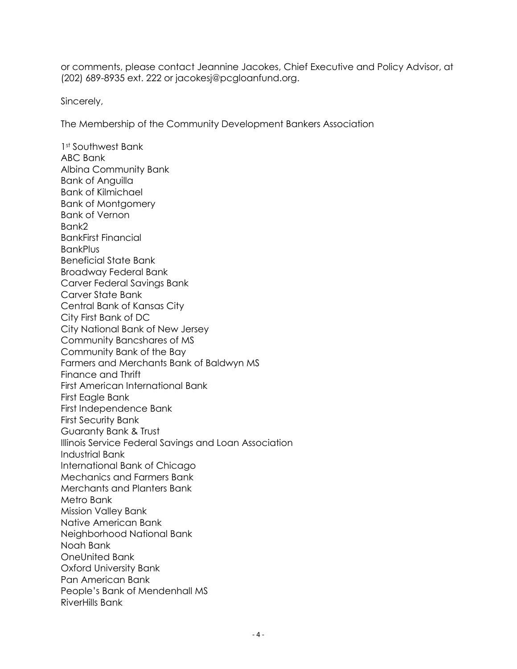or comments, please contact Jeannine Jacokes, Chief Executive and Policy Advisor, at (202) 689-8935 ext. 222 or jacokesj@pcgloanfund.org.

Sincerely,

The Membership of the Community Development Bankers Association

1st Southwest Bank ABC Bank Albina Community Bank Bank of Anguilla Bank of Kilmichael Bank of Montgomery Bank of Vernon Bank2 BankFirst Financial **BankPlus** Beneficial State Bank Broadway Federal Bank Carver Federal Savings Bank Carver State Bank Central Bank of Kansas City City First Bank of DC City National Bank of New Jersey Community Bancshares of MS Community Bank of the Bay Farmers and Merchants Bank of Baldwyn MS Finance and Thrift First American International Bank First Eagle Bank First Independence Bank First Security Bank Guaranty Bank & Trust Illinois Service Federal Savings and Loan Association Industrial Bank International Bank of Chicago Mechanics and Farmers Bank Merchants and Planters Bank Metro Bank Mission Valley Bank Native American Bank Neighborhood National Bank Noah Bank OneUnited Bank Oxford University Bank Pan American Bank People's Bank of Mendenhall MS RiverHills Bank